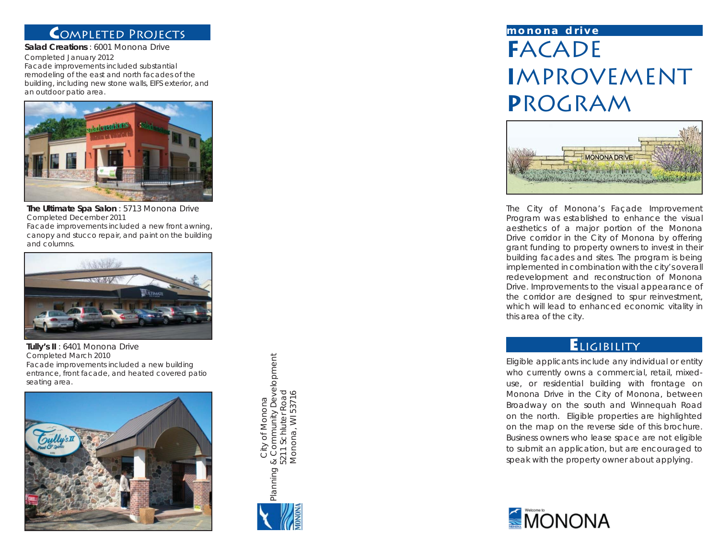## **C**ompleted Projects

**Salad Creations** : 6001 Monona DriveCompleted January 2012 Facade improvements included substantial remodeling of the east and north facades of the building, including new stone walls, EIFS exterior, and an outdoor patio area.



**The Ultimate Spa Salon** : 5713 Monona Drive Completed December 2011 Facade improvements included a new front awning, canopy and stucco repair, and paint on the building and columns.



**Tully's II** : 6401 Monona Drive Completed March 2010 Facade improvements included a new building entrance, front facade, and heated covered patio seating area.



Planning & Community Development Planning & Community Development<br>5211 Schluter Road<br>Monona, WI 53716 Monona, WI 53716 5211 Schluter Road City of Monona City of Monona



# **F**ACADE**I**MPROVEMENT **P**ROGRAM **monona drive**



The City of Monona's Façade Improvement Program was established to enhance the visual aesthetics of a major portion of the Monona Drive corridor in the City of Monona by offering grant funding to property owners to invest in their building facades and sites. The program is being implemented in combination with the city's overall redevelopment and reconstruction of Monona Drive. Improvements to the visual appearance of the corridor are designed to spur reinvestment, which will lead to enhanced economic vitality in this area of the city.

### **E**ligibility

Eligible applicants include any individual or entity who currently owns a commercial, retail, mixeduse, or residential building with frontage on Monona Drive in the City of Monona, between Broadway on the south and Winnequah Road on the north. Eligible properties are highlighted on the map on the reverse side of this brochure. Business owners who lease space are not eligible to submit an application, but are encouraged to speak with the property owner about applying.